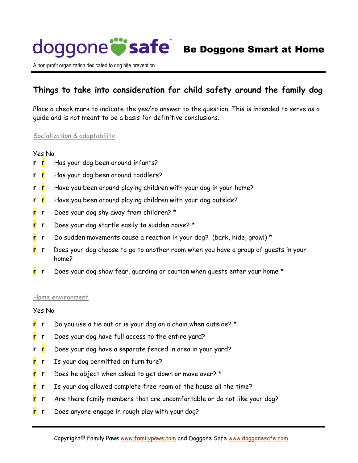

A non-profit organization dedicated to dog bite prevention

## **Things to take into consideration for child safety around the family dog**

Place a check mark to indicate the yes/no answer to the question. This is intended to serve as a guide and is not meant to be a basis for definitive conclusions.

#### Socialization & adaptability

#### Yes No

- **r r** Has your dog been around infants?
- **r r** Has your dog been around toddlers?
- **r r** Have you been around playing children with your dog in your home?
- **r r** Have you been around playing children with your dog outside?
- **r r** Does your dog shy away from children? \*
- **r r** Does your dog startle easily to sudden noise? \*
- **r r** Do sudden movements cause a reaction in your dog? (bark, hide, growl) \*
- **r r** Does your dog choose to go to another room when you have a group of guests in your home?
- **r r** Does your dog show fear, guarding or caution when guests enter your home \*

#### Home environment

#### Yes No

- **r r** Do you use a tie out or is your dog on a chain when outside? \*
- **r r** Does your dog have full access to the entire yard?
- **r r** Does your dog have a separate fenced in area in your yard?
- **r r** Is your dog permitted on furniture?
- **r r** Does he object when asked to get down or move over? \*
- **r r** Is your dog allowed complete free roam of the house all the time?
- **r r** Are there family members that are uncomfortable or do not like your dog?
- **r r** Does anyone engage in rough play with your dog?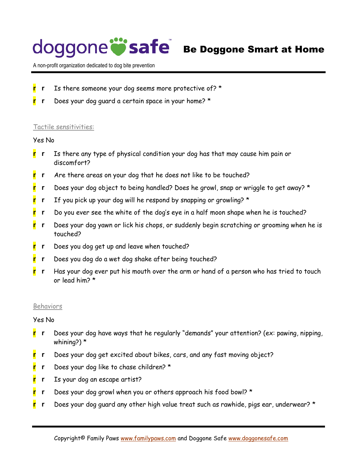## doggone **Safe** Be Doggone Smart at Home

A non-profit organization dedicated to dog bite prevention

- **r r** Is there someone your dog seems more protective of? \*
- **r r** Does your dog guard a certain space in your home? \*

#### Tactile sensitivities:

### Yes No

- **r r** Is there any type of physical condition your dog has that may cause him pain or discomfort?
- **r r** Are there areas on your dog that he does not like to be touched?
- **r r** Does your dog object to being handled? Does he growl, snap or wriggle to get away? \*
- **r r** If you pick up your dog will he respond by snapping or growling? \*
- **r r** Do you ever see the white of the dog's eye in a half moon shape when he is touched?
- **r r** Does your dog yawn or lick his chops, or suddenly begin scratching or grooming when he is touched?
- **r r** Does you dog get up and leave when touched?
- **r r** Does you dog do a wet dog shake after being touched?
- **r r** Has your dog ever put his mouth over the arm or hand of a person who has tried to touch or lead him? \*

#### Behaviors

#### Yes No

- **r r** Does your dog have ways that he regularly "demands" your attention? (ex: pawing, nipping, whining?) \*
- **r r** Does your dog get excited about bikes, cars, and any fast moving object?
- **r r** Does your dog like to chase children? \*
- **r r** Is your dog an escape artist?
- **r r** Does your dog growl when you or others approach his food bowl? \*
- **r r** Does your dog guard any other high value treat such as rawhide, pigs ear, underwear? \*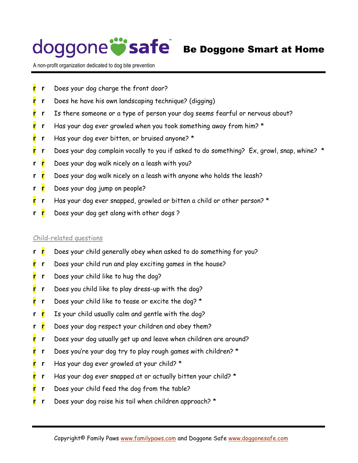# doggone **Safe** Be Doggone Smart at Home

A non-profit organization dedicated to dog bite prevention

- **r r** Does your dog charge the front door?
- **r r** Does he have his own landscaping technique? (digging)
- **r r** Is there someone or a type of person your dog seems fearful or nervous about?
- **r r** Has your dog ever growled when you took something away from him? \*
- **r r** Has your dog ever bitten, or bruised anyone? \*
- **r r** Does your dog complain vocally to you if asked to do something? Ex, growl, snap, whine? \*
- **r r** Does your dog walk nicely on a leash with you?
- **r r** Does your dog walk nicely on a leash with anyone who holds the leash?
- **r r** Does your dog jump on people?
- **r r** Has your dog ever snapped, growled or bitten a child or other person? \*
- **r r** Does your dog get along with other dogs ?

### Child-related questions

- **r r** Does your child generally obey when asked to do something for you?
- **r r** Does your child run and play exciting games in the house?
- **r r** Does your child like to hug the dog?
- **r r** Does you child like to play dress-up with the dog?
- **r r** Does your child like to tease or excite the dog? \*
- **r r** Is your child usually calm and gentle with the dog?
- **r r** Does your dog respect your children and obey them?
- **r r** Does your dog usually get up and leave when children are around?
- **r r** Does you're your dog try to play rough games with children? \*
- **r r** Has your dog ever growled at your child? \*
- **r r** Has your dog ever snapped at or actually bitten your child? \*
- **r r** Does your child feed the dog from the table?
- **r r** Does your dog raise his tail when children approach? \*